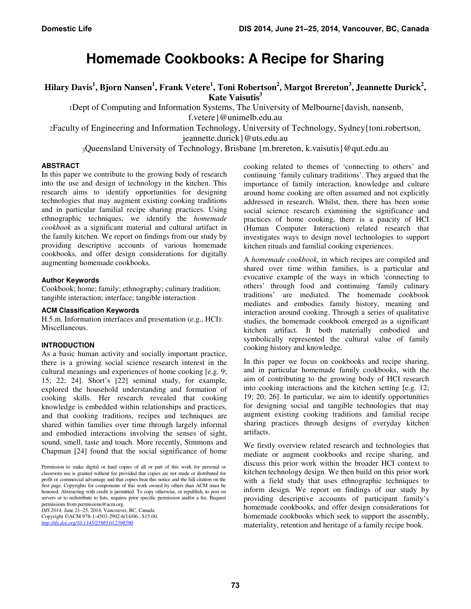# **Homemade Cookbooks: A Recipe for Sharing**

**Hilary Davis<sup>1</sup> , Bjorn Nansen<sup>1</sup> , Frank Vetere<sup>1</sup> , Toni Robertson<sup>2</sup> , Margot Brereton<sup>3</sup> , Jeannette Durick<sup>2</sup> , Kate Vaisutis<sup>3</sup>**

<sup>1</sup>Dept of Computing and Information Systems, The University of Melbourne{davish, nansenb, f.vetere}@unimelb.edu.au

<sup>2</sup>Faculty of Engineering and Information Technology, University of Technology, Sydney{toni.robertson,

jeannette.durick}@uts.edu.au

<sup>3</sup>Queensland University of Technology, Brisbane {m.brereton, k.vaisutis}@qut.edu.au

# **ABSTRACT**

In this paper we contribute to the growing body of research into the use and design of technology in the kitchen. This research aims to identify opportunities for designing technologies that may augment existing cooking traditions and in particular familial recipe sharing practices. Using ethnographic techniques, we identify the *homemade cookbook* as a significant material and cultural artifact in the family kitchen. We report on findings from our study by providing descriptive accounts of various homemade cookbooks, and offer design considerations for digitally augmenting homemade cookbooks.

# **Author Keywords**

Cookbook; home; family; ethnography; culinary tradition; tangible interaction; interface; tangible interaction

# **ACM Classification Keywords**

H.5.m. Information interfaces and presentation (e.g., HCI): Miscellaneous.

# **INTRODUCTION**

As a basic human activity and socially important practice, there is a growing social science research interest in the cultural meanings and experiences of home cooking [e.g. 9; 15; 22; 24]. Short's [22] seminal study, for example, explored the household understanding and formation of cooking skills. Her research revealed that cooking knowledge is embedded within relationships and practices, and that cooking traditions, recipes and techniques are shared within families over time through largely informal and embodied interactions involving the senses of sight, sound, smell, taste and touch. More recently, Simmons and Chapman [24] found that the social significance of home

Permission to make digital or hard copies of all or part of this work for personal or classroom use is granted without fee provided that copies are not made or distributed for profit or commercial advantage and that copies bear this notice and the full citation on the first page. Copyrights for components of this work owned by others than ACM must be honored. Abstracting with credit is permitted. To copy otherwise, or republish, to post on servers or to redistribute to lists, requires prior specific permission and/or a fee. Request permissions from permissions@acm.org.

*DIS 2014*, June 21–25, 2014, Vancouver, BC, Canada. Copyright ©ACM 978-1-4503-2902-6/14/06...\$15.00. *http://dx.doi.org/10.1145/2598510.2598590*

cooking related to themes of 'connecting to others' and continuing 'family culinary traditions'. They argued that the importance of family interaction, knowledge and culture around home cooking are often assumed and not explicitly addressed in research. Whilst, then, there has been some social science research examining the significance and practices of home cooking, there is a paucity of HCI (Human Computer Interaction) related research that investigates ways to design novel technologies to support kitchen rituals and familial cooking experiences.

A *homemade cookbook*, in which recipes are compiled and shared over time within families, is a particular and evocative example of the ways in which 'connecting to others' through food and continuing 'family culinary traditions' are mediated. The homemade cookbook mediates and embodies family history, meaning and interaction around cooking. Through a series of qualitative studies, the homemade cookbook emerged as a significant kitchen artifact. It both materially embodied and symbolically represented the cultural value of family cooking history and knowledge.

In this paper we focus on cookbooks and recipe sharing, and in particular homemade family cookbooks, with the aim of contributing to the growing body of HCI research into cooking interactions and the kitchen setting [e.g. 12; 19; 20; 26]. In particular, we aim to identify opportunities for designing social and tangible technologies that may augment existing cooking traditions and familial recipe sharing practices through designs of everyday kitchen artifacts.

We firstly overview related research and technologies that mediate or augment cookbooks and recipe sharing, and discuss this prior work within the broader HCI context to kitchen technology design. We then build on this prior work with a field study that uses ethnographic techniques to inform design. We report on findings of our study by providing descriptive accounts of participant family's homemade cookbooks, and offer design considerations for homemade cookbooks which seek to support the assembly, materiality, retention and heritage of a family recipe book.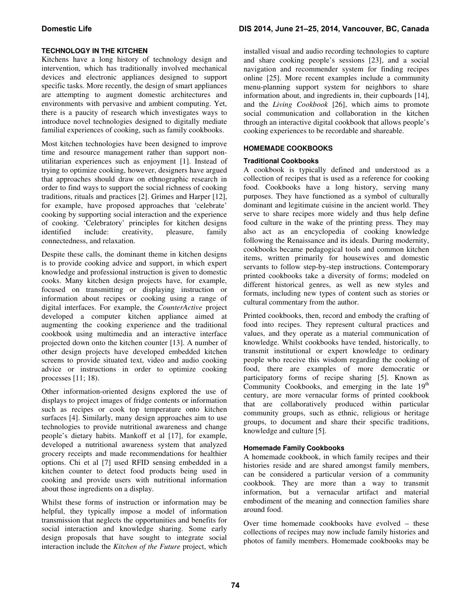### **TECHNOLOGY IN THE KITCHEN**

Kitchens have a long history of technology design and intervention, which has traditionally involved mechanical devices and electronic appliances designed to support specific tasks. More recently, the design of smart appliances are attempting to augment domestic architectures and environments with pervasive and ambient computing. Yet, there is a paucity of research which investigates ways to introduce novel technologies designed to digitally mediate familial experiences of cooking, such as family cookbooks.

Most kitchen technologies have been designed to improve time and resource management rather than support nonutilitarian experiences such as enjoyment [1]. Instead of trying to optimize cooking, however, designers have argued that approaches should draw on ethnographic research in order to find ways to support the social richness of cooking traditions, rituals and practices [2]. Grimes and Harper [12], for example, have proposed approaches that 'celebrate' cooking by supporting social interaction and the experience of cooking. 'Celebratory' principles for kitchen designs identified include: creativity, pleasure, family connectedness, and relaxation.

Despite these calls, the dominant theme in kitchen designs is to provide cooking advice and support, in which expert knowledge and professional instruction is given to domestic cooks. Many kitchen design projects have, for example, focused on transmitting or displaying instruction or information about recipes or cooking using a range of digital interfaces. For example, the *CounterActive* project developed a computer kitchen appliance aimed at augmenting the cooking experience and the traditional cookbook using multimedia and an interactive interface projected down onto the kitchen counter [13]. A number of other design projects have developed embedded kitchen screens to provide situated text, video and audio cooking advice or instructions in order to optimize cooking processes [11; 18).

Other information-oriented designs explored the use of displays to project images of fridge contents or information such as recipes or cook top temperature onto kitchen surfaces [4]. Similarly, many design approaches aim to use technologies to provide nutritional awareness and change people's dietary habits. Mankoff et al [17], for example, developed a nutritional awareness system that analyzed grocery receipts and made recommendations for healthier options. Chi et al [7] used RFID sensing embedded in a kitchen counter to detect food products being used in cooking and provide users with nutritional information about those ingredients on a display.

Whilst these forms of instruction or information may be helpful, they typically impose a model of information transmission that neglects the opportunities and benefits for social interaction and knowledge sharing. Some early design proposals that have sought to integrate social interaction include the *Kitchen of the Future* project, which installed visual and audio recording technologies to capture and share cooking people's sessions [23], and a social navigation and recommender system for finding recipes online [25]. More recent examples include a community menu-planning support system for neighbors to share information about, and ingredients in, their cupboards [14], and the *Living Cookbook* [26], which aims to promote social communication and collaboration in the kitchen through an interactive digital cookbook that allows people's cooking experiences to be recordable and shareable.

### **HOMEMADE COOKBOOKS**

### **Traditional Cookbooks**

A cookbook is typically defined and understood as a collection of recipes that is used as a reference for cooking food. Cookbooks have a long history, serving many purposes. They have functioned as a symbol of culturally dominant and legitimate cuisine in the ancient world. They serve to share recipes more widely and thus help define food culture in the wake of the printing press. They may also act as an encyclopedia of cooking knowledge following the Renaissance and its ideals. During modernity, cookbooks became pedagogical tools and common kitchen items, written primarily for housewives and domestic servants to follow step-by-step instructions. Contemporary printed cookbooks take a diversity of forms; modeled on different historical genres, as well as new styles and formats, including new types of content such as stories or cultural commentary from the author.

Printed cookbooks, then, record and embody the crafting of food into recipes. They represent cultural practices and values, and they operate as a material communication of knowledge. Whilst cookbooks have tended, historically, to transmit institutional or expert knowledge to ordinary people who receive this wisdom regarding the cooking of food, there are examples of more democratic or participatory forms of recipe sharing [5]. Known as Community Cookbooks, and emerging in the late  $19<sup>th</sup>$ century, are more vernacular forms of printed cookbook that are collaboratively produced within particular community groups, such as ethnic, religious or heritage groups, to document and share their specific traditions, knowledge and culture [5].

### **Homemade Family Cookbooks**

A homemade cookbook, in which family recipes and their histories reside and are shared amongst family members, can be considered a particular version of a community cookbook. They are more than a way to transmit information, but a vernacular artifact and material embodiment of the meaning and connection families share around food.

Over time homemade cookbooks have evolved – these collections of recipes may now include family histories and photos of family members. Homemade cookbooks may be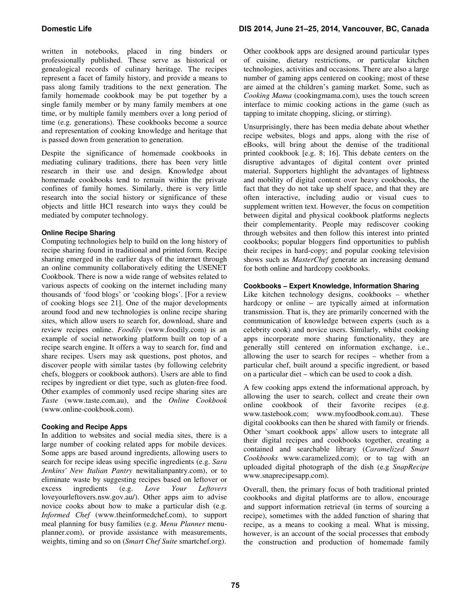written in notebooks, placed in ring binders or professionally published. These serve as historical or genealogical records of culinary heritage. The recipes represent a facet of family history, and provide a means to pass along family traditions to the next generation. The family homemade cookbook may be put together by a single family member or by many family members at one time, or by multiple family members over a long period of time (e.g. generations). These cookbooks become a source and representation of cooking knowledge and heritage that is passed down from generation to generation.

Despite the significance of homemade cookbooks in mediating culinary traditions, there has been very little research in their use and design. Knowledge about homemade cookbooks tend to remain within the private confines of family homes. Similarly, there is very little research into the social history or significance of these objects and little HCI research into ways they could be mediated by computer technology.

# **Online Recipe Sharing**

Computing technologies help to build on the long history of recipe sharing found in traditional and printed form. Recipe sharing emerged in the earlier days of the internet through an online community collaboratively editing the USENET Cookbook. There is now a wide range of websites related to various aspects of cooking on the internet including many thousands of 'food blogs' or 'cooking blogs'. [For a review of cooking blogs see 21]. One of the major developments around food and new technologies is online recipe sharing sites, which allow users to search for, download, share and review recipes online. *Foodily* (www.foodily.com) is an example of social networking platform built on top of a recipe search engine. It offers a way to search for, find and share recipes. Users may ask questions, post photos, and discover people with similar tastes (by following celebrity chefs, bloggers or cookbook authors). Users are able to find recipes by ingredient or diet type, such as gluten-free food. Other examples of commonly used recipe sharing sites are *Taste* (www.taste.com.au), and the *Online Cookbook* (www.online-cookbook.com).

# **Cooking and Recipe Apps**

In addition to websites and social media sites, there is a large number of cooking related apps for mobile devices. Some apps are based around ingredients, allowing users to search for recipe ideas using specific ingredients (e.g. *Sara Jenkins' New Italian Pantry* newitalianpantry.com), or to eliminate waste by suggesting recipes based on leftover or excess ingredients (e.g. *Love Your Leftovers* loveyourleftovers.nsw.gov.au/). Other apps aim to advise novice cooks about how to make a particular dish (e.g. *Informed Chef* (www.theinformedchef.com), to support meal planning for busy families (e.g. *Menu Planner* menuplanner.com), or provide assistance with measurements, weights, timing and so on (*Smart Chef Suite* smartchef.org).

Other cookbook apps are designed around particular types of cuisine, dietary restrictions, or particular kitchen technologies, activities and occasions. There are also a large number of gaming apps centered on cooking; most of these are aimed at the children's gaming market. Some, such as *Cooking Mama* (cookingmama.com), uses the touch screen interface to mimic cooking actions in the game (such as tapping to imitate chopping, slicing, or stirring).

Unsurprisingly, there has been media debate about whether recipe websites, blogs and apps, along with the rise of eBooks, will bring about the demise of the traditional printed cookbook [e.g. 8; 16]. This debate centers on the disruptive advantages of digital content over printed material. Supporters highlight the advantages of lightness and mobility of digital content over heavy cookbooks, the fact that they do not take up shelf space, and that they are often interactive, including audio or visual cues to supplement written text. However, the focus on competition between digital and physical cookbook platforms neglects their complementarity. People may rediscover cooking through websites and then follow this interest into printed cookbooks; popular bloggers find opportunities to publish their recipes in hard-copy; and popular cooking television shows such as *MasterChef* generate an increasing demand for both online and hardcopy cookbooks.

# **Cookbooks – Expert Knowledge, Information Sharing**

Like kitchen technology designs, cookbooks – whether hardcopy or online – are typically aimed at information transmission. That is, they are primarily concerned with the communication of knowledge between experts (such as a celebrity cook) and novice users. Similarly, whilst cooking apps incorporate more sharing functionality, they are generally still centered on information exchange, i.e., allowing the user to search for recipes – whether from a particular chef, built around a specific ingredient, or based on a particular diet – which can be used to cook a dish.

A few cooking apps extend the informational approach, by allowing the user to search, collect and create their own online cookbook of their favorite recipes (e.g. www.tastebook.com; www.myfoodbook.com.au). These digital cookbooks can then be shared with family or friends. Other 'smart cookbook apps' allow users to integrate all their digital recipes and cookbooks together, creating a contained and searchable library (*Caramelized Smart Cookbooks* www.caramelized.com); or to tag with an uploaded digital photograph of the dish (e.g *SnapRecipe* www.snaprecipesapp.com).

Overall, then, the primary focus of both traditional printed cookbooks and digital platforms are to allow, encourage and support information retrieval (in terms of sourcing a recipe), sometimes with the added function of sharing that recipe, as a means to cooking a meal. What is missing, however, is an account of the social processes that embody the construction and production of homemade family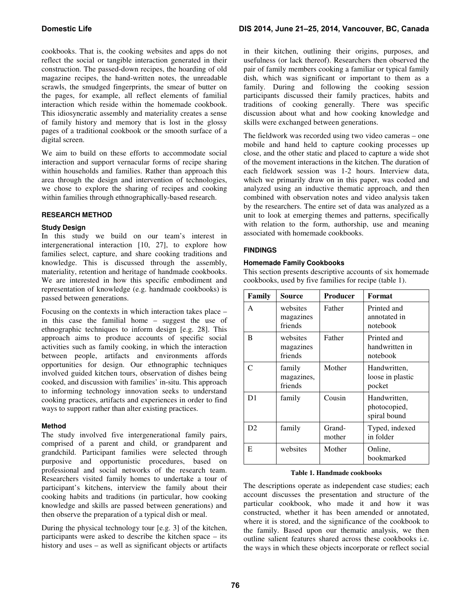cookbooks. That is, the cooking websites and apps do not reflect the social or tangible interaction generated in their construction. The passed-down recipes, the hoarding of old magazine recipes, the hand-written notes, the unreadable scrawls, the smudged fingerprints, the smear of butter on the pages, for example, all reflect elements of familial interaction which reside within the homemade cookbook. This idiosyncratic assembly and materiality creates a sense of family history and memory that is lost in the glossy pages of a traditional cookbook or the smooth surface of a digital screen.

We aim to build on these efforts to accommodate social interaction and support vernacular forms of recipe sharing within households and families. Rather than approach this area through the design and intervention of technologies, we chose to explore the sharing of recipes and cooking within families through ethnographically-based research.

# **RESEARCH METHOD**

# **Study Design**

In this study we build on our team's interest in intergenerational interaction [10, 27], to explore how families select, capture, and share cooking traditions and knowledge. This is discussed through the assembly, materiality, retention and heritage of handmade cookbooks. We are interested in how this specific embodiment and representation of knowledge (e.g. handmade cookbooks) is passed between generations.

Focusing on the contexts in which interaction takes place – in this case the familial home – suggest the use of ethnographic techniques to inform design [e.g. 28]. This approach aims to produce accounts of specific social activities such as family cooking, in which the interaction between people, artifacts and environments affords opportunities for design. Our ethnographic techniques involved guided kitchen tours, observation of dishes being cooked, and discussion with families' in-situ. This approach to informing technology innovation seeks to understand cooking practices, artifacts and experiences in order to find ways to support rather than alter existing practices.

# **Method**

The study involved five intergenerational family pairs, comprised of a parent and child, or grandparent and grandchild. Participant families were selected through purposive and opportunistic procedures, based on professional and social networks of the research team. Researchers visited family homes to undertake a tour of participant's kitchens, interview the family about their cooking habits and traditions (in particular, how cooking knowledge and skills are passed between generations) and then observe the preparation of a typical dish or meal.

During the physical technology tour [e.g. 3] of the kitchen, participants were asked to describe the kitchen space – its history and uses – as well as significant objects or artifacts in their kitchen, outlining their origins, purposes, and usefulness (or lack thereof). Researchers then observed the pair of family members cooking a familiar or typical family dish, which was significant or important to them as a family. During and following the cooking session participants discussed their family practices, habits and traditions of cooking generally. There was specific discussion about what and how cooking knowledge and skills were exchanged between generations.

The fieldwork was recorded using two video cameras – one mobile and hand held to capture cooking processes up close, and the other static and placed to capture a wide shot of the movement interactions in the kitchen. The duration of each fieldwork session was 1-2 hours. Interview data, which we primarily draw on in this paper, was coded and analyzed using an inductive thematic approach, and then combined with observation notes and video analysis taken by the researchers. The entire set of data was analyzed as a unit to look at emerging themes and patterns, specifically with relation to the form, authorship, use and meaning associated with homemade cookbooks.

# **FINDINGS**

# **Homemade Family Cookbooks**

This section presents descriptive accounts of six homemade cookbooks, used by five families for recipe (table 1).

| Family         | Source                           | <b>Producer</b>  | Format                                       |
|----------------|----------------------------------|------------------|----------------------------------------------|
| A              | websites<br>magazines<br>friends | Father           | Printed and<br>annotated in<br>notebook      |
| B              | websites<br>magazines<br>friends | Father           | Printed and<br>handwritten in<br>notebook    |
| $\subset$      | family<br>magazines,<br>friends  | Mother           | Handwritten,<br>loose in plastic<br>pocket   |
| D <sub>1</sub> | family                           | Cousin           | Handwritten,<br>photocopied,<br>spiral bound |
| D <sub>2</sub> | family                           | Grand-<br>mother | Typed, indexed<br>in folder                  |
| E              | websites                         | Mother           | Online,<br>bookmarked                        |

#### **Table 1. Handmade cookbooks**

The descriptions operate as independent case studies; each account discusses the presentation and structure of the particular cookbook, who made it and how it was constructed, whether it has been amended or annotated, where it is stored, and the significance of the cookbook to the family. Based upon our thematic analysis, we then outline salient features shared across these cookbooks i.e. the ways in which these objects incorporate or reflect social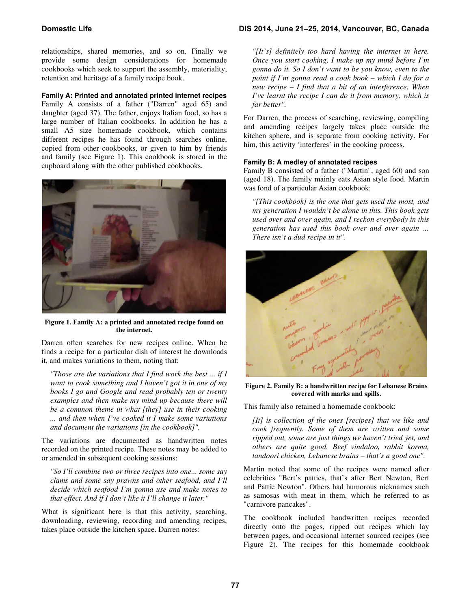relationships, shared memories, and so on. Finally we provide some design considerations for homemade cookbooks which seek to support the assembly, materiality, retention and heritage of a family recipe book.

#### **Family A: Printed and annotated printed internet recipes**

Family A consists of a father ("Darren" aged 65) and daughter (aged 37). The father, enjoys Italian food, so has a large number of Italian cookbooks. In addition he has a small A5 size homemade cookbook, which contains different recipes he has found through searches online, copied from other cookbooks, or given to him by friends and family (see Figure 1). This cookbook is stored in the cupboard along with the other published cookbooks.



**Figure 1. Family A: a printed and annotated recipe found on the internet.** 

Darren often searches for new recipes online. When he finds a recipe for a particular dish of interest he downloads it, and makes variations to them, noting that:

*"Those are the variations that I find work the best ... if I want to cook something and I haven't got it in one of my books I go and Google and read probably ten or twenty examples and then make my mind up because there will be a common theme in what [they] use in their cooking ... and then when I've cooked it I make some variations and document the variations [in the cookbook]".* 

The variations are documented as handwritten notes recorded on the printed recipe. These notes may be added to or amended in subsequent cooking sessions:

*"So I'll combine two or three recipes into one... some say clams and some say prawns and other seafood, and I'll decide which seafood I'm gonna use and make notes to that effect. And if I don't like it I'll change it later."* 

What is significant here is that this activity, searching, downloading, reviewing, recording and amending recipes, takes place outside the kitchen space. Darren notes:

# **Domestic Life DIS 2014, June 21–25, 2014, Vancouver, BC, Canada**

*"[It's] definitely too hard having the internet in here. Once you start cooking, I make up my mind before I'm gonna do it. So I don't want to be you know, even to the point if I'm gonna read a cook book – which I do for a new recipe – I find that a bit of an interference. When I've learnt the recipe I can do it from memory, which is far better".* 

For Darren, the process of searching, reviewing, compiling and amending recipes largely takes place outside the kitchen sphere, and is separate from cooking activity. For him, this activity 'interferes' in the cooking process.

#### **Family B: A medley of annotated recipes**

Family B consisted of a father ("Martin", aged 60) and son (aged 18). The family mainly eats Asian style food. Martin was fond of a particular Asian cookbook:

*"[This cookbook] is the one that gets used the most, and my generation I wouldn't be alone in this. This book gets used over and over again, and I reckon everybody in this generation has used this book over and over again … There isn't a dud recipe in it".* 



**Figure 2. Family B: a handwritten recipe for Lebanese Brains covered with marks and spills.** 

This family also retained a homemade cookbook:

*[It] is collection of the ones [recipes] that we like and cook frequently. Some of them are written and some ripped out, some are just things we haven't tried yet, and others are quite good. Beef vindaloo, rabbit korma, tandoori chicken, Lebanese brains – that's a good one".* 

Martin noted that some of the recipes were named after celebrities "Bert's patties, that's after Bert Newton, Bert and Pattie Newton". Others had humorous nicknames such as samosas with meat in them, which he referred to as "carnivore pancakes".

The cookbook included handwritten recipes recorded directly onto the pages, ripped out recipes which lay between pages, and occasional internet sourced recipes (see Figure 2). The recipes for this homemade cookbook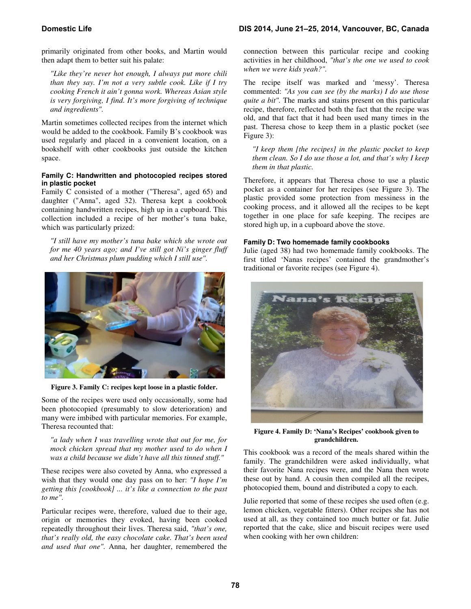# **Domestic Life DIS 2014, June 21–25, 2014, Vancouver, BC, Canada**

primarily originated from other books, and Martin would then adapt them to better suit his palate:

*"Like they're never hot enough, I always put more chili than they say. I'm not a very subtle cook. Like if I try cooking French it ain't gonna work. Whereas Asian style is very forgiving, I find. It's more forgiving of technique and ingredients".* 

Martin sometimes collected recipes from the internet which would be added to the cookbook. Family B's cookbook was used regularly and placed in a convenient location, on a bookshelf with other cookbooks just outside the kitchen space.

#### **Family C: Handwritten and photocopied recipes stored in plastic pocket**

Family C consisted of a mother ("Theresa", aged 65) and daughter ("Anna", aged 32). Theresa kept a cookbook containing handwritten recipes, high up in a cupboard. This collection included a recipe of her mother's tuna bake, which was particularly prized:

*"I still have my mother's tuna bake which she wrote out for me 40 years ago; and I've still got Ni's ginger fluff and her Christmas plum pudding which I still use".* 



**Figure 3. Family C: recipes kept loose in a plastic folder.** 

Some of the recipes were used only occasionally, some had been photocopied (presumably to slow deterioration) and many were imbibed with particular memories. For example, Theresa recounted that:

*"a lady when I was travelling wrote that out for me, for mock chicken spread that my mother used to do when I was a child because we didn't have all this tinned stuff."* 

These recipes were also coveted by Anna, who expressed a wish that they would one day pass on to her: *"I hope I'm getting this [cookbook] ... it's like a connection to the past to me".* 

Particular recipes were, therefore, valued due to their age, origin or memories they evoked, having been cooked repeatedly throughout their lives. Theresa said, *"that's one, that's really old, the easy chocolate cake. That's been used and used that one".* Anna, her daughter, remembered the

connection between this particular recipe and cooking activities in her childhood, *"that's the one we used to cook when we were kids yeah?".*

The recipe itself was marked and 'messy'. Theresa commented: *"As you can see (by the marks) I do use those quite a bit"*. The marks and stains present on this particular recipe, therefore, reflected both the fact that the recipe was old, and that fact that it had been used many times in the past. Theresa chose to keep them in a plastic pocket (see Figure 3):

*"I keep them [the recipes] in the plastic pocket to keep them clean. So I do use those a lot, and that's why I keep them in that plastic.* 

Therefore, it appears that Theresa chose to use a plastic pocket as a container for her recipes (see Figure 3). The plastic provided some protection from messiness in the cooking process, and it allowed all the recipes to be kept together in one place for safe keeping. The recipes are stored high up, in a cupboard above the stove.

# **Family D: Two homemade family cookbooks**

Julie (aged 38) had two homemade family cookbooks. The first titled 'Nanas recipes' contained the grandmother's traditional or favorite recipes (see Figure 4).



**Figure 4. Family D: 'Nana's Recipes' cookbook given to grandchildren.** 

This cookbook was a record of the meals shared within the family. The grandchildren were asked individually, what their favorite Nana recipes were, and the Nana then wrote these out by hand. A cousin then compiled all the recipes, photocopied them, bound and distributed a copy to each.

Julie reported that some of these recipes she used often (e.g. lemon chicken, vegetable fitters). Other recipes she has not used at all, as they contained too much butter or fat. Julie reported that the cake, slice and biscuit recipes were used when cooking with her own children: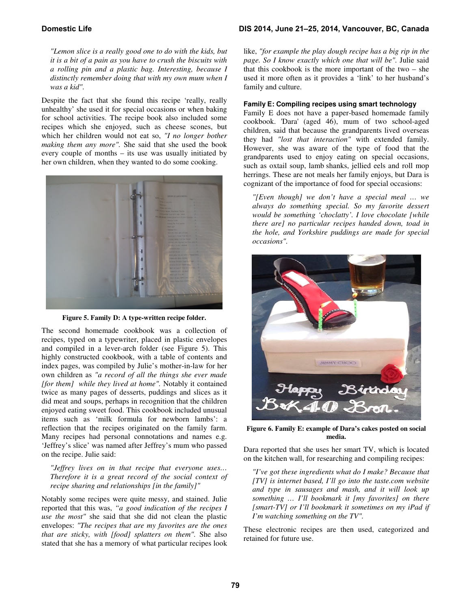*"Lemon slice is a really good one to do with the kids, but it is a bit of a pain as you have to crush the biscuits with a rolling pin and a plastic bag. Interesting, because I distinctly remember doing that with my own mum when I was a kid".* 

Despite the fact that she found this recipe 'really, really unhealthy' she used it for special occasions or when baking for school activities. The recipe book also included some recipes which she enjoyed, such as cheese scones, but which her children would not eat so, *"I no longer bother making them any more".* She said that she used the book every couple of months – its use was usually initiated by her own children, when they wanted to do some cooking.



**Figure 5. Family D: A type-written recipe folder.** 

The second homemade cookbook was a collection of recipes, typed on a typewriter, placed in plastic envelopes and compiled in a lever-arch folder (see Figure 5). This highly constructed cookbook, with a table of contents and index pages, was compiled by Julie's mother-in-law for her own children as *"a record of all the things she ever made [for them] while they lived at home".* Notably it contained twice as many pages of desserts, puddings and slices as it did meat and soups, perhaps in recognition that the children enjoyed eating sweet food. This cookbook included unusual items such as 'milk formula for newborn lambs': a reflection that the recipes originated on the family farm. Many recipes had personal connotations and names e.g. 'Jeffrey's slice' was named after Jeffrey's mum who passed on the recipe. Julie said:

*"Jeffrey lives on in that recipe that everyone uses… Therefore it is a great record of the social context of recipe sharing and relationships [in the family]"* 

Notably some recipes were quite messy, and stained. Julie reported that this was, *"a good indication of the recipes I use the most"* she said that she did not clean the plastic envelopes: *"The recipes that are my favorites are the ones that are sticky, with [food] splatters on them".* She also stated that she has a memory of what particular recipes look

# **Domestic Life DIS 2014, June 21–25, 2014, Vancouver, BC, Canada**

like, *"for example the play dough recipe has a big rip in the page. So I know exactly which one that will be".* Julie said that this cookbook is the more important of the two  $-$  she used it more often as it provides a 'link' to her husband's family and culture.

#### **Family E: Compiling recipes using smart technology**

Family E does not have a paper-based homemade family cookbook. 'Dara' (aged 46), mum of two school-aged children, said that because the grandparents lived overseas they had *"lost that interaction"* with extended family. However, she was aware of the type of food that the grandparents used to enjoy eating on special occasions, such as oxtail soup, lamb shanks, jellied eels and roll mop herrings. These are not meals her family enjoys, but Dara is cognizant of the importance of food for special occasions:

*"[Even though] we don't have a special meal … we always do something special. So my favorite dessert would be something 'choclatty'. I love chocolate [while there are] no particular recipes handed down, toad in the hole, and Yorkshire puddings are made for special occasions".* 



**Figure 6. Family E: example of Dara's cakes posted on social media.** 

Dara reported that she uses her smart TV, which is located on the kitchen wall, for researching and compiling recipes:

*"I've got these ingredients what do I make? Because that [TV] is internet based, I'll go into the taste.com website and type in sausages and mash, and it will look up something … I'll bookmark it [my favorites] on there [smart-TV] or I'll bookmark it sometimes on my iPad if I'm watching something on the TV".* 

These electronic recipes are then used, categorized and retained for future use.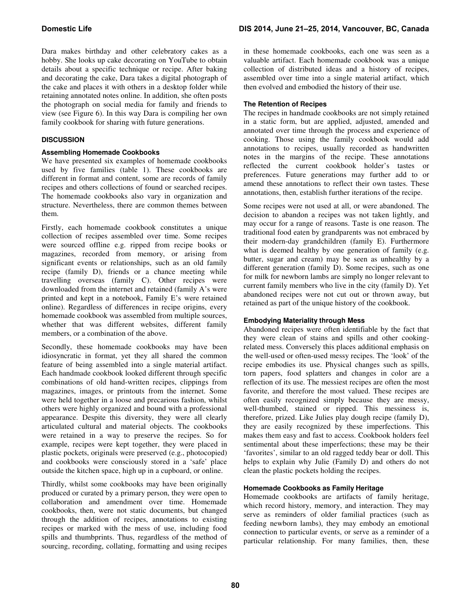Dara makes birthday and other celebratory cakes as a hobby. She looks up cake decorating on YouTube to obtain details about a specific technique or recipe. After baking and decorating the cake, Dara takes a digital photograph of the cake and places it with others in a desktop folder while retaining annotated notes online. In addition, she often posts the photograph on social media for family and friends to view (see Figure 6). In this way Dara is compiling her own family cookbook for sharing with future generations.

# **DISCUSSION**

# **Assembling Homemade Cookbooks**

We have presented six examples of homemade cookbooks used by five families (table 1). These cookbooks are different in format and content, some are records of family recipes and others collections of found or searched recipes. The homemade cookbooks also vary in organization and structure. Nevertheless, there are common themes between them.

Firstly, each homemade cookbook constitutes a unique collection of recipes assembled over time. Some recipes were sourced offline e.g. ripped from recipe books or magazines, recorded from memory, or arising from significant events or relationships, such as an old family recipe (family D), friends or a chance meeting while travelling overseas (family C). Other recipes were downloaded from the internet and retained (family A's were printed and kept in a notebook, Family E's were retained online). Regardless of differences in recipe origins, every homemade cookbook was assembled from multiple sources, whether that was different websites, different family members, or a combination of the above.

Secondly, these homemade cookbooks may have been idiosyncratic in format, yet they all shared the common feature of being assembled into a single material artifact. Each handmade cookbook looked different through specific combinations of old hand-written recipes, clippings from magazines, images, or printouts from the internet. Some were held together in a loose and precarious fashion, whilst others were highly organized and bound with a professional appearance. Despite this diversity, they were all clearly articulated cultural and material objects. The cookbooks were retained in a way to preserve the recipes. So for example, recipes were kept together, they were placed in plastic pockets, originals were preserved (e.g., photocopied) and cookbooks were consciously stored in a 'safe' place outside the kitchen space, high up in a cupboard, or online.

Thirdly, whilst some cookbooks may have been originally produced or curated by a primary person, they were open to collaboration and amendment over time. Homemade cookbooks, then, were not static documents, but changed through the addition of recipes, annotations to existing recipes or marked with the mess of use, including food spills and thumbprints. Thus, regardless of the method of sourcing, recording, collating, formatting and using recipes

in these homemade cookbooks, each one was seen as a valuable artifact. Each homemade cookbook was a unique collection of distributed ideas and a history of recipes, assembled over time into a single material artifact, which then evolved and embodied the history of their use.

# **The Retention of Recipes**

The recipes in handmade cookbooks are not simply retained in a static form, but are applied, adjusted, amended and annotated over time through the process and experience of cooking. Those using the family cookbook would add annotations to recipes, usually recorded as handwritten notes in the margins of the recipe. These annotations reflected the current cookbook holder's tastes or preferences. Future generations may further add to or amend these annotations to reflect their own tastes. These annotations, then, establish further iterations of the recipe.

Some recipes were not used at all, or were abandoned. The decision to abandon a recipes was not taken lightly, and may occur for a range of reasons. Taste is one reason. The traditional food eaten by grandparents was not embraced by their modern-day grandchildren (family E). Furthermore what is deemed healthy by one generation of family (e.g. butter, sugar and cream) may be seen as unhealthy by a different generation (family D). Some recipes, such as one for milk for newborn lambs are simply no longer relevant to current family members who live in the city (family D). Yet abandoned recipes were not cut out or thrown away, but retained as part of the unique history of the cookbook.

# **Embodying Materiality through Mess**

Abandoned recipes were often identifiable by the fact that they were clean of stains and spills and other cookingrelated mess. Conversely this places additional emphasis on the well-used or often-used messy recipes. The 'look' of the recipe embodies its use. Physical changes such as spills, torn papers, food splatters and changes in color are a reflection of its use. The messiest recipes are often the most favorite, and therefore the most valued. These recipes are often easily recognized simply because they are messy, well-thumbed, stained or ripped. This messiness is, therefore, prized. Like Julies play dough recipe (family D), they are easily recognized by these imperfections. This makes them easy and fast to access. Cookbook holders feel sentimental about these imperfections; these may be their 'favorites', similar to an old ragged teddy bear or doll. This helps to explain why Julie (Family D) and others do not clean the plastic pockets holding the recipes.

# **Homemade Cookbooks as Family Heritage**

Homemade cookbooks are artifacts of family heritage, which record history, memory, and interaction. They may serve as reminders of older familial practices (such as feeding newborn lambs), they may embody an emotional connection to particular events, or serve as a reminder of a particular relationship. For many families, then, these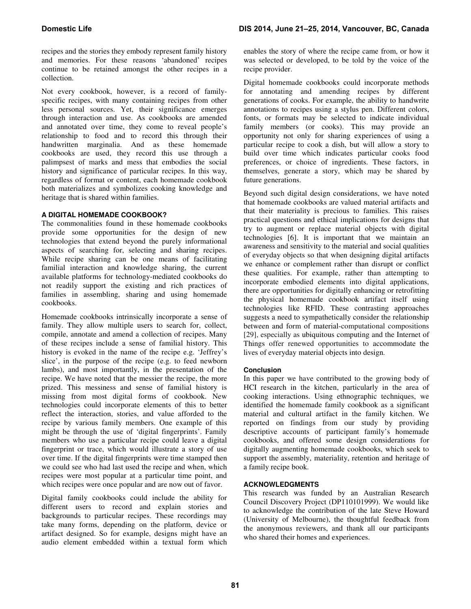recipes and the stories they embody represent family history and memories. For these reasons 'abandoned' recipes continue to be retained amongst the other recipes in a collection.

Not every cookbook, however, is a record of familyspecific recipes, with many containing recipes from other less personal sources. Yet, their significance emerges through interaction and use. As cookbooks are amended and annotated over time, they come to reveal people's relationship to food and to record this through their handwritten marginalia. And as these homemade cookbooks are used, they record this use through a palimpsest of marks and mess that embodies the social history and significance of particular recipes. In this way, regardless of format or content, each homemade cookbook both materializes and symbolizes cooking knowledge and heritage that is shared within families.

# **A DIGITAL HOMEMADE COOKBOOK?**

The commonalities found in these homemade cookbooks provide some opportunities for the design of new technologies that extend beyond the purely informational aspects of searching for, selecting and sharing recipes. While recipe sharing can be one means of facilitating familial interaction and knowledge sharing, the current available platforms for technology-mediated cookbooks do not readily support the existing and rich practices of families in assembling, sharing and using homemade cookbooks.

Homemade cookbooks intrinsically incorporate a sense of family. They allow multiple users to search for, collect, compile, annotate and amend a collection of recipes. Many of these recipes include a sense of familial history. This history is evoked in the name of the recipe e.g. 'Jeffrey's slice', in the purpose of the recipe (e.g. to feed newborn lambs), and most importantly, in the presentation of the recipe. We have noted that the messier the recipe, the more prized. This messiness and sense of familial history is missing from most digital forms of cookbook. New technologies could incorporate elements of this to better reflect the interaction, stories, and value afforded to the recipe by various family members. One example of this might be through the use of 'digital fingerprints'. Family members who use a particular recipe could leave a digital fingerprint or trace, which would illustrate a story of use over time. If the digital fingerprints were time stamped then we could see who had last used the recipe and when, which recipes were most popular at a particular time point, and which recipes were once popular and are now out of favor.

Digital family cookbooks could include the ability for different users to record and explain stories and backgrounds to particular recipes. These recordings may take many forms, depending on the platform, device or artifact designed. So for example, designs might have an audio element embedded within a textual form which enables the story of where the recipe came from, or how it was selected or developed, to be told by the voice of the recipe provider.

Digital homemade cookbooks could incorporate methods for annotating and amending recipes by different generations of cooks. For example, the ability to handwrite annotations to recipes using a stylus pen. Different colors, fonts, or formats may be selected to indicate individual family members (or cooks). This may provide an opportunity not only for sharing experiences of using a particular recipe to cook a dish, but will allow a story to build over time which indicates particular cooks food preferences, or choice of ingredients. These factors, in themselves, generate a story, which may be shared by future generations.

Beyond such digital design considerations, we have noted that homemade cookbooks are valued material artifacts and that their materiality is precious to families. This raises practical questions and ethical implications for designs that try to augment or replace material objects with digital technologies [6]. It is important that we maintain an awareness and sensitivity to the material and social qualities of everyday objects so that when designing digital artifacts we enhance or complement rather than disrupt or conflict these qualities. For example, rather than attempting to incorporate embodied elements into digital applications, there are opportunities for digitally enhancing or retrofitting the physical homemade cookbook artifact itself using technologies like RFID. These contrasting approaches suggests a need to sympathetically consider the relationship between and form of material-computational compositions [29], especially as ubiquitous computing and the Internet of Things offer renewed opportunities to accommodate the lives of everyday material objects into design.

# **Conclusion**

In this paper we have contributed to the growing body of HCI research in the kitchen, particularly in the area of cooking interactions. Using ethnographic techniques, we identified the homemade family cookbook as a significant material and cultural artifact in the family kitchen. We reported on findings from our study by providing descriptive accounts of participant family's homemade cookbooks, and offered some design considerations for digitally augmenting homemade cookbooks, which seek to support the assembly, materiality, retention and heritage of a family recipe book.

# **ACKNOWLEDGMENTS**

This research was funded by an Australian Research Council Discovery Project (DP110101999). We would like to acknowledge the contribution of the late Steve Howard (University of Melbourne), the thoughtful feedback from the anonymous reviewers, and thank all our participants who shared their homes and experiences.